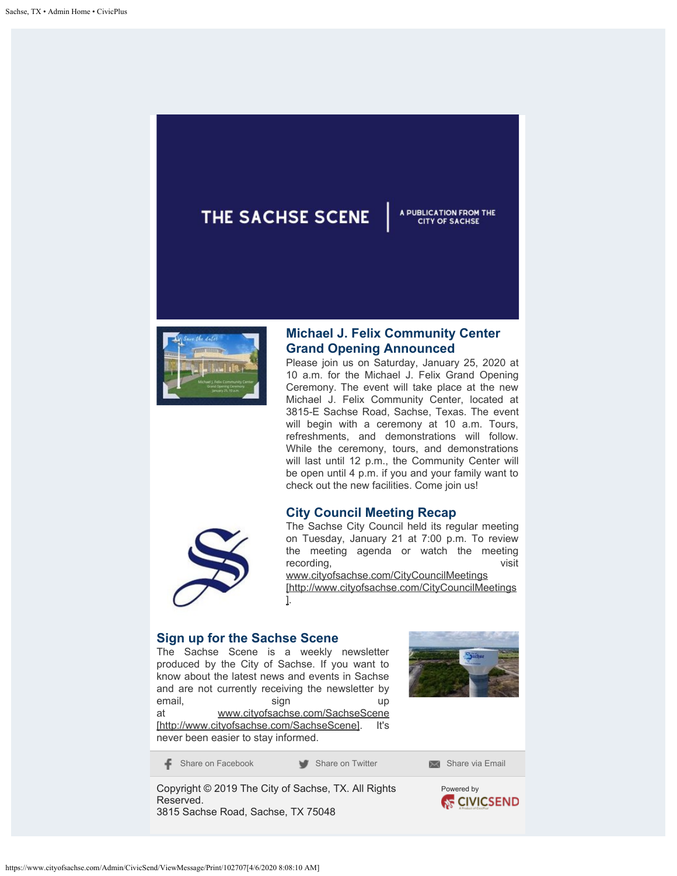## THE SACHSE SCENE

## **Michael J. Felix Community Center Grand Opening Announced**

A PUBLICATION FROM THE **CITY OF SACHSE** 

Please join us on Saturday, January 25, 2020 at 10 a.m. for the Michael J. Felix Grand Opening Ceremony. The event will take place at the new Michael J. Felix Community Center, located at 3815-E Sachse Road, Sachse, Texas. The event will begin with a ceremony at 10 a.m. Tours, refreshments, and demonstrations will follow. While the ceremony, tours, and demonstrations will last until 12 p.m., the Community Center will be open until 4 p.m. if you and your family want to check out the new facilities. Come join us!

## **City Council Meeting Recap**



The Sachse City Council held its regular meeting on Tuesday, January 21 at 7:00 p.m. To review the meeting agenda or watch the meeting recording, the control of the control of the visit visit

[www.cityofsachse.com/CityCouncilMeetings](http://www.cityofsachse.com/CityCouncilMeetings) [http://www.cityofsachse.com/CityCouncilMeetings ].

## **Sign up for the Sachse Scene**

The Sachse Scene is a weekly newsletter produced by the City of Sachse. If you want to know about the latest news and events in Sachse and are not currently receiving the newsletter by email, sign up at [www.cityofsachse.com/SachseScene](http://www.cityofsachse.com/SachseScene) [http://www.cityofsachse.com/SachseScene]. It's never been easier to stay informed.



[Share on Facebook](https://www.facebook.com/sharer/sharer.php?u={Shortened_Message_Link}) [Share on Twitter](http://twitter.com/share?url={Shortened_Message_Link}) [Share via Email](mailto:?to=&subject=Check%20out%20this%20message&body={Shortened_Message_Link})

Copyright © 2019 The City of Sachse, TX. All Rights Reserved. 3815 Sachse Road, Sachse, TX 75048